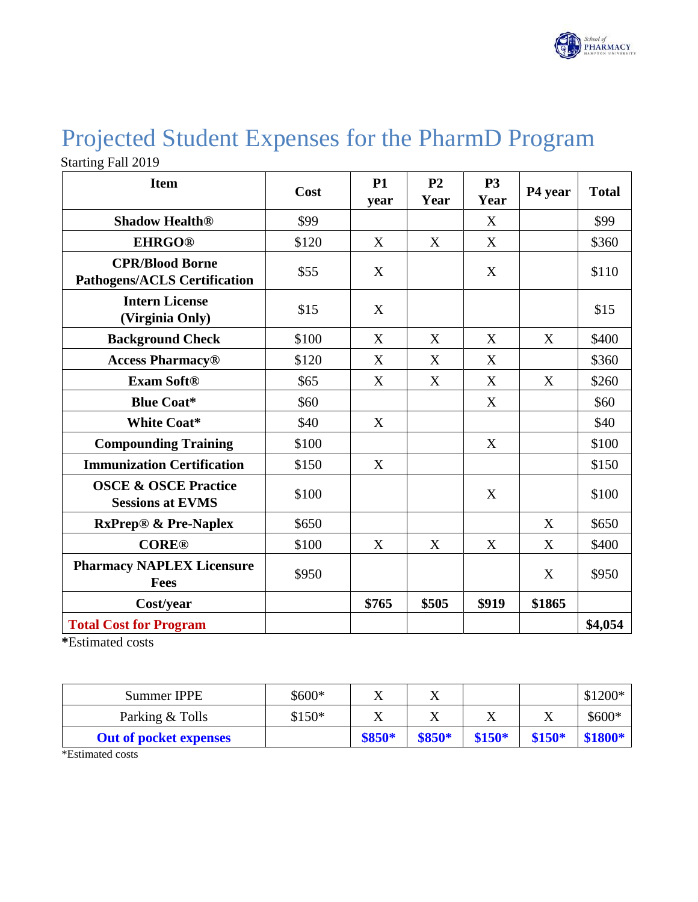

## Projected Student Expenses for the PharmD Program

Starting Fall 2019

| <b>Item</b>                                                   | Cost  | <b>P1</b><br>year | P <sub>2</sub><br>Year | <b>P3</b><br>Year | P4 year | <b>Total</b> |
|---------------------------------------------------------------|-------|-------------------|------------------------|-------------------|---------|--------------|
| <b>Shadow Health®</b>                                         | \$99  |                   |                        | X                 |         | \$99         |
| <b>EHRGO®</b>                                                 | \$120 | X                 | X                      | X                 |         | \$360        |
| <b>CPR/Blood Borne</b><br><b>Pathogens/ACLS Certification</b> | \$55  | X                 |                        | X                 |         | \$110        |
| <b>Intern License</b><br>(Virginia Only)                      | \$15  | X                 |                        |                   |         | \$15         |
| <b>Background Check</b>                                       | \$100 | X                 | X                      | X                 | X       | \$400        |
| <b>Access Pharmacy®</b>                                       | \$120 | X                 | X                      | X                 |         | \$360        |
| <b>Exam Soft®</b>                                             | \$65  | X                 | X                      | X                 | X       | \$260        |
| <b>Blue Coat*</b>                                             | \$60  |                   |                        | X                 |         | \$60         |
| <b>White Coat*</b>                                            | \$40  | X                 |                        |                   |         | \$40         |
| <b>Compounding Training</b>                                   | \$100 |                   |                        | X                 |         | \$100        |
| <b>Immunization Certification</b>                             | \$150 | X                 |                        |                   |         | \$150        |
| <b>OSCE &amp; OSCE Practice</b><br><b>Sessions at EVMS</b>    | \$100 |                   |                        | X                 |         | \$100        |
| <b>RxPrep® &amp; Pre-Naplex</b>                               | \$650 |                   |                        |                   | X       | \$650        |
| <b>CORE®</b>                                                  | \$100 | X                 | X                      | X                 | X       | \$400        |
| <b>Pharmacy NAPLEX Licensure</b><br><b>Fees</b>               | \$950 |                   |                        |                   | X       | \$950        |
| Cost/year                                                     |       | \$765             | \$505                  | \$919             | \$1865  |              |
| <b>Total Cost for Program</b>                                 |       |                   |                        |                   |         | \$4,054      |

**\***Estimated costs

| Summer IPPE                   | \$600*  |         |        |         |         | $$1200*$ |
|-------------------------------|---------|---------|--------|---------|---------|----------|
| Parking & Tolls               | $$150*$ |         |        | △       | л       | $$600*$  |
| <b>Out of pocket expenses</b> |         | $$850*$ | \$850* | $$150*$ | $$150*$ | \$1800*  |

\*Estimated costs